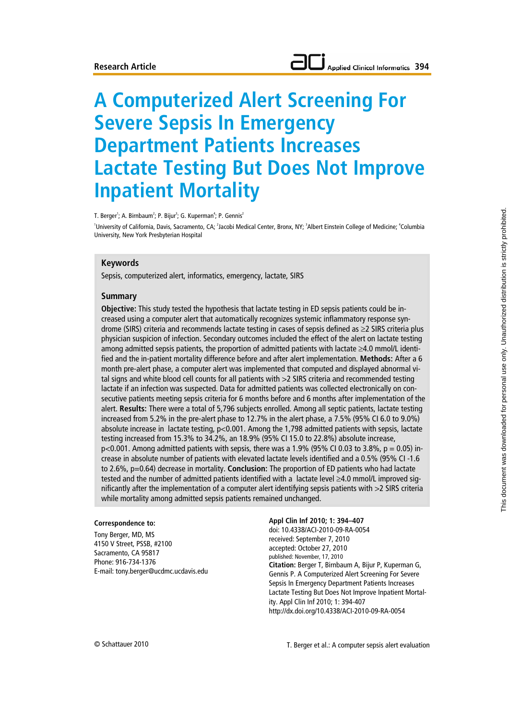# **A Computerized Alert Screening For Severe Sepsis In Emergency Department Patients Increases Lactate Testing But Does Not Improve Inpatient Mortality**

T. Berger<sup>1</sup>; A. Birnbaum<sup>2</sup>; P. Bijur<sup>3</sup>; G. Kuperman<sup>4</sup>; P. Gennis<sup>2</sup> 'University of California, Davis, Sacramento, CA; <sup>2</sup> Jacobi Medical Center, Bronx, NY; <sup>3</sup> Albert Einstein College of Medicine; <sup>4</sup> Columbia University, New York Presbyterian Hospital

### **Keywords**

Sepsis, computerized alert, informatics, emergency, lactate, SIRS

### **Summary**

**Objective:** This study tested the hypothesis that lactate testing in ED sepsis patients could be increased using a computer alert that automatically recognizes systemic inflammatory response syndrome (SIRS) criteria and recommends lactate testing in cases of sepsis defined as ≥2 SIRS criteria plus physician suspicion of infection. Secondary outcomes included the effect of the alert on lactate testing among admitted sepsis patients, the proportion of admitted patients with lactate ≥4.0 mmol/L identified and the in-patient mortality difference before and after alert implementation. **Methods:** After a 6 month pre-alert phase, a computer alert was implemented that computed and displayed abnormal vital signs and white blood cell counts for all patients with >2 SIRS criteria and recommended testing lactate if an infection was suspected. Data for admitted patients was collected electronically on consecutive patients meeting sepsis criteria for 6 months before and 6 months after implementation of the alert. **Results:** There were a total of 5,796 subjects enrolled. Among all septic patients, lactate testing increased from 5.2% in the pre-alert phase to 12.7% in the alert phase, a 7.5% (95% CI 6.0 to 9.0%) absolute increase in lactate testing, p<0.001. Among the 1,798 admitted patients with sepsis, lactate testing increased from 15.3% to 34.2%, an 18.9% (95% CI 15.0 to 22.8%) absolute increase,  $p<0.001$ . Among admitted patients with sepsis, there was a 1.9% (95% CI 0.03 to 3.8%,  $p = 0.05$ ) increase in absolute number of patients with elevated lactate levels identified and a 0.5% (95% CI -1.6 to 2.6%, p=0.64) decrease in mortality. **Conclusion:** The proportion of ED patients who had lactate tested and the number of admitted patients identified with a lactate level ≥4.0 mmol/L improved significantly after the implementation of a computer alert identifying sepsis patients with >2 SIRS criteria while mortality among admitted sepsis patients remained unchanged.

#### **Correspondence to:**

Tony Berger, MD, MS 4150 V Street, PSSB, #2100 Sacramento, CA 95817 Phone: 916-734-1376 E-mail: tony.berger@ucdmc.ucdavis.edu **Appl Clin Inf 2010; 1: 394–407** doi: 10.4338/ACI-2010-09-RA-0054 received: September 7, 2010 accepted: October 27, 2010 published: November, 17, 2010 **Citation:** Berger T, Birnbaum A, Bijur P, Kuperman G, Gennis P. A Computerized Alert Screening For Severe Sepsis In Emergency Department Patients Increases Lactate Testing But Does Not Improve Inpatient Mortality. Appl Clin Inf 2010; 1: 394-407 http://dx.doi.org/10.4338/ACI-2010-09-RA-0054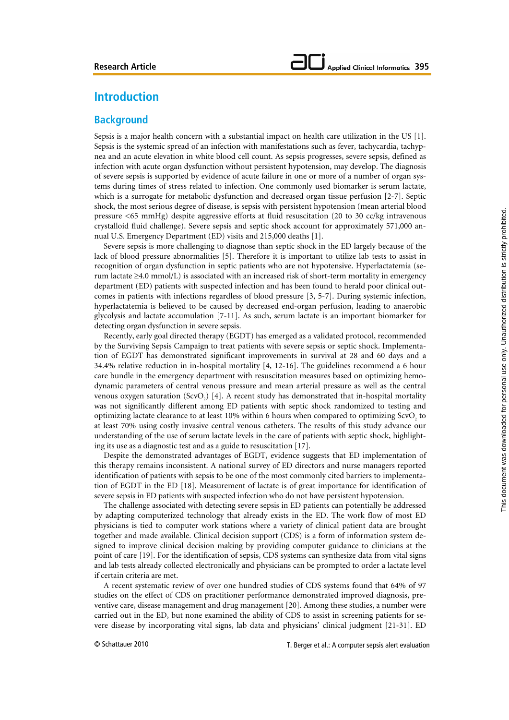# **Introduction**

### **Background**

Sepsis is a major health concern with a substantial impact on health care utilization in the US [1]. Sepsis is the systemic spread of an infection with manifestations such as fever, tachycardia, tachypnea and an acute elevation in white blood cell count. As sepsis progresses, severe sepsis, defined as infection with acute organ dysfunction without persistent hypotension, may develop. The diagnosis of severe sepsis is supported by evidence of acute failure in one or more of a number of organ systems during times of stress related to infection. One commonly used biomarker is serum lactate, which is a surrogate for metabolic dysfunction and decreased organ tissue perfusion [2-7]. Septic shock, the most serious degree of disease, is sepsis with persistent hypotension (mean arterial blood pressure <65 mmHg) despite aggressive efforts at fluid resuscitation (20 to 30 cc/kg intravenous crystalloid fluid challenge). Severe sepsis and septic shock account for approximately 571,000 annual U.S. Emergency Department (ED) visits and 215,000 deaths [1].

Severe sepsis is more challenging to diagnose than septic shock in the ED largely because of the lack of blood pressure abnormalities [5]. Therefore it is important to utilize lab tests to assist in recognition of organ dysfunction in septic patients who are not hypotensive. Hyperlactatemia (serum lactate ≥4.0 mmol/L) is associated with an increased risk of short-term mortality in emergency department (ED) patients with suspected infection and has been found to herald poor clinical outcomes in patients with infections regardless of blood pressure [3, 5-7]. During systemic infection, hyperlactatemia is believed to be caused by decreased end-organ perfusion, leading to anaerobic glycolysis and lactate accumulation [7-11]. As such, serum lactate is an important biomarker for detecting organ dysfunction in severe sepsis.

Recently, early goal directed therapy (EGDT) has emerged as a validated protocol, recommended by the Surviving Sepsis Campaign to treat patients with severe sepsis or septic shock. Implementation of EGDT has demonstrated significant improvements in survival at 28 and 60 days and a 34.4% relative reduction in in-hospital mortality [4, 12-16]. The guidelines recommend a 6 hour care bundle in the emergency department with resuscitation measures based on optimizing hemodynamic parameters of central venous pressure and mean arterial pressure as well as the central venous oxygen saturation  $(SevO<sub>2</sub>)$  [4]. A recent study has demonstrated that in-hospital mortality was not significantly different among ED patients with septic shock randomized to testing and optimizing lactate clearance to at least 10% within 6 hours when compared to optimizing  $ScvO<sub>2</sub>$  to at least 70% using costly invasive central venous catheters. The results of this study advance our understanding of the use of serum lactate levels in the care of patients with septic shock, highlighting its use as a diagnostic test and as a guide to resuscitation [17].

Despite the demonstrated advantages of EGDT, evidence suggests that ED implementation of this therapy remains inconsistent. A national survey of ED directors and nurse managers reported identification of patients with sepsis to be one of the most commonly cited barriers to implementation of EGDT in the ED [18]. Measurement of lactate is of great importance for identification of severe sepsis in ED patients with suspected infection who do not have persistent hypotension.

The challenge associated with detecting severe sepsis in ED patients can potentially be addressed by adapting computerized technology that already exists in the ED. The work flow of most ED physicians is tied to computer work stations where a variety of clinical patient data are brought together and made available. Clinical decision support (CDS) is a form of information system designed to improve clinical decision making by providing computer guidance to clinicians at the point of care [19]. For the identification of sepsis, CDS systems can synthesize data from vital signs and lab tests already collected electronically and physicians can be prompted to order a lactate level if certain criteria are met.

A recent systematic review of over one hundred studies of CDS systems found that 64% of 97 studies on the effect of CDS on practitioner performance demonstrated improved diagnosis, preventive care, disease management and drug management [20]. Among these studies, a number were carried out in the ED, but none examined the ability of CDS to assist in screening patients for severe disease by incorporating vital signs, lab data and physicians' clinical judgment [21-31]. ED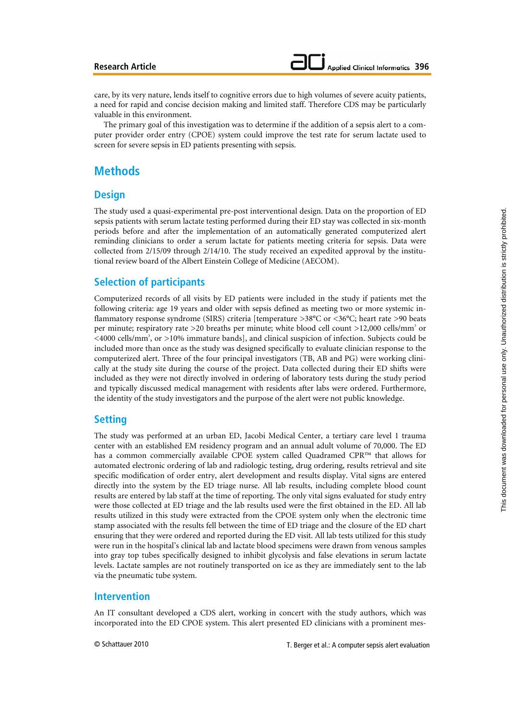care, by its very nature, lends itself to cognitive errors due to high volumes of severe acuity patients, a need for rapid and concise decision making and limited staff. Therefore CDS may be particularly valuable in this environment.

The primary goal of this investigation was to determine if the addition of a sepsis alert to a computer provider order entry (CPOE) system could improve the test rate for serum lactate used to screen for severe sepsis in ED patients presenting with sepsis.

# **Methods**

### **Design**

The study used a quasi-experimental pre-post interventional design. Data on the proportion of ED sepsis patients with serum lactate testing performed during their ED stay was collected in six-month periods before and after the implementation of an automatically generated computerized alert reminding clinicians to order a serum lactate for patients meeting criteria for sepsis. Data were collected from 2/15/09 through 2/14/10. The study received an expedited approval by the institutional review board of the Albert Einstein College of Medicine (AECOM).

### **Selection of participants**

Computerized records of all visits by ED patients were included in the study if patients met the following criteria: age 19 years and older with sepsis defined as meeting two or more systemic inflammatory response syndrome (SIRS) criteria [temperature >38°C or <36°C; heart rate >90 beats per minute; respiratory rate >20 breaths per minute; white blood cell count >12,000 cells/mm<sup>3</sup> or <4000 cells/mm<sup>3</sup>, or >10% immature bands], and clinical suspicion of infection. Subjects could be included more than once as the study was designed specifically to evaluate clinician response to the computerized alert. Three of the four principal investigators (TB, AB and PG) were working clinically at the study site during the course of the project. Data collected during their ED shifts were included as they were not directly involved in ordering of laboratory tests during the study period and typically discussed medical management with residents after labs were ordered. Furthermore, the identity of the study investigators and the purpose of the alert were not public knowledge.

# **Setting**

The study was performed at an urban ED, Jacobi Medical Center, a tertiary care level 1 trauma center with an established EM residency program and an annual adult volume of 70,000. The ED has a common commercially available CPOE system called Quadramed CPR™ that allows for automated electronic ordering of lab and radiologic testing, drug ordering, results retrieval and site specific modification of order entry, alert development and results display. Vital signs are entered directly into the system by the ED triage nurse. All lab results, including complete blood count results are entered by lab staff at the time of reporting. The only vital signs evaluated for study entry were those collected at ED triage and the lab results used were the first obtained in the ED. All lab results utilized in this study were extracted from the CPOE system only when the electronic time stamp associated with the results fell between the time of ED triage and the closure of the ED chart ensuring that they were ordered and reported during the ED visit. All lab tests utilized for this study were run in the hospital's clinical lab and lactate blood specimens were drawn from venous samples into gray top tubes specifically designed to inhibit glycolysis and false elevations in serum lactate levels. Lactate samples are not routinely transported on ice as they are immediately sent to the lab via the pneumatic tube system.

### **Intervention**

An IT consultant developed a CDS alert, working in concert with the study authors, which was incorporated into the ED CPOE system. This alert presented ED clinicians with a prominent mes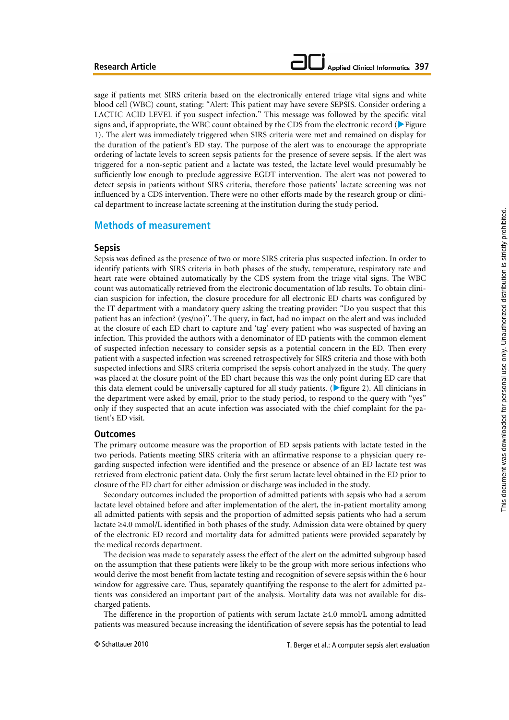sage if patients met SIRS criteria based on the electronically entered triage vital signs and white blood cell (WBC) count, stating: "Alert: This patient may have severe SEPSIS. Consider ordering a LACTIC ACID LEVEL if you suspect infection." This message was followed by the specific vital signs and, if appropriate, the WBC count obtained by the CDS from the electronic record ( $\blacktriangleright$  Figure 1). The alert was immediately triggered when SIRS criteria were met and remained on display for the duration of the patient's ED stay. The purpose of the alert was to encourage the appropriate ordering of lactate levels to screen sepsis patients for the presence of severe sepsis. If the alert was triggered for a non-septic patient and a lactate was tested, the lactate level would presumably be sufficiently low enough to preclude aggressive EGDT intervention. The alert was not powered to detect sepsis in patients without SIRS criteria, therefore those patients' lactate screening was not influenced by a CDS intervention. There were no other efforts made by the research group or clinical department to increase lactate screening at the institution during the study period.

### **Methods of measurement**

### **Sepsis**

Sepsis was defined as the presence of two or more SIRS criteria plus suspected infection. In order to identify patients with SIRS criteria in both phases of the study, temperature, respiratory rate and heart rate were obtained automatically by the CDS system from the triage vital signs. The WBC count was automatically retrieved from the electronic documentation of lab results. To obtain clinician suspicion for infection, the closure procedure for all electronic ED charts was configured by the IT department with a mandatory query asking the treating provider: "Do you suspect that this patient has an infection? (yes/no)". The query, in fact, had no impact on the alert and was included at the closure of each ED chart to capture and 'tag' every patient who was suspected of having an infection. This provided the authors with a denominator of ED patients with the common element of suspected infection necessary to consider sepsis as a potential concern in the ED. Then every patient with a suspected infection was screened retrospectively for SIRS criteria and those with both suspected infections and SIRS criteria comprised the sepsis cohort analyzed in the study. The query was placed at the closure point of the ED chart because this was the only point during ED care that this data element could be universally captured for all study patients. ( $\blacktriangleright$  figure 2). All clinicians in the department were asked by email, prior to the study period, to respond to the query with "yes" only if they suspected that an acute infection was associated with the chief complaint for the patient's ED visit.

### **Outcomes**

The primary outcome measure was the proportion of ED sepsis patients with lactate tested in the two periods. Patients meeting SIRS criteria with an affirmative response to a physician query regarding suspected infection were identified and the presence or absence of an ED lactate test was retrieved from electronic patient data. Only the first serum lactate level obtained in the ED prior to closure of the ED chart for either admission or discharge was included in the study.

Secondary outcomes included the proportion of admitted patients with sepsis who had a serum lactate level obtained before and after implementation of the alert, the in-patient mortality among all admitted patients with sepsis and the proportion of admitted sepsis patients who had a serum lactate ≥4.0 mmol/L identified in both phases of the study. Admission data were obtained by query of the electronic ED record and mortality data for admitted patients were provided separately by the medical records department.

The decision was made to separately assess the effect of the alert on the admitted subgroup based on the assumption that these patients were likely to be the group with more serious infections who would derive the most benefit from lactate testing and recognition of severe sepsis within the 6 hour window for aggressive care. Thus, separately quantifying the response to the alert for admitted patients was considered an important part of the analysis. Mortality data was not available for discharged patients.

The difference in the proportion of patients with serum lactate  $\geq 4.0$  mmol/L among admitted patients was measured because increasing the identification of severe sepsis has the potential to lead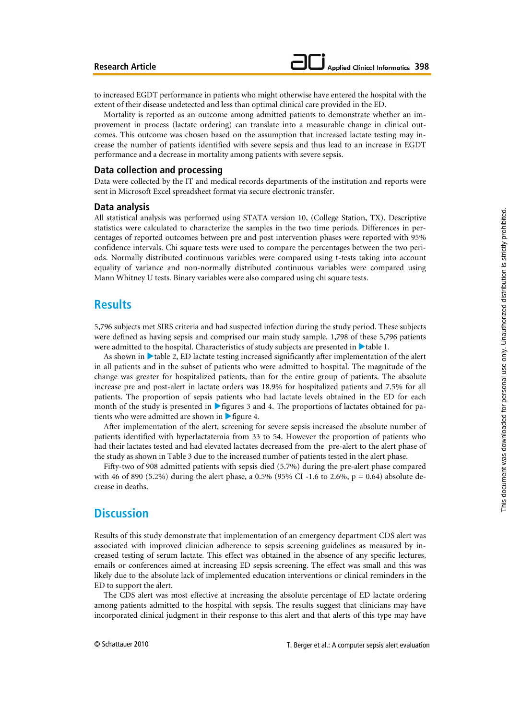to increased EGDT performance in patients who might otherwise have entered the hospital with the extent of their disease undetected and less than optimal clinical care provided in the ED.

Mortality is reported as an outcome among admitted patients to demonstrate whether an improvement in process (lactate ordering) can translate into a measurable change in clinical outcomes. This outcome was chosen based on the assumption that increased lactate testing may increase the number of patients identified with severe sepsis and thus lead to an increase in EGDT performance and a decrease in mortality among patients with severe sepsis.

### **Data collection and processing**

Data were collected by the IT and medical records departments of the institution and reports were sent in Microsoft Excel spreadsheet format via secure electronic transfer.

#### **Data analysis**

All statistical analysis was performed using STATA version 10, (College Station, TX). Descriptive statistics were calculated to characterize the samples in the two time periods. Differences in percentages of reported outcomes between pre and post intervention phases were reported with 95% confidence intervals. Chi square tests were used to compare the percentages between the two periods. Normally distributed continuous variables were compared using t-tests taking into account equality of variance and non-normally distributed continuous variables were compared using Mann Whitney U tests. Binary variables were also compared using chi square tests.

### **Results**

5,796 subjects met SIRS criteria and had suspected infection during the study period. These subjects were defined as having sepsis and comprised our main study sample. 1,798 of these 5,796 patients were admitted to the hospital. Characteristics of study subjects are presented in  $\blacktriangleright$  table 1.

As shown in  $\blacktriangleright$  table 2, ED lactate testing increased significantly after implementation of the alert in all patients and in the subset of patients who were admitted to hospital. The magnitude of the change was greater for hospitalized patients, than for the entire group of patients. The absolute increase pre and post-alert in lactate orders was 18.9% for hospitalized patients and 7.5% for all patients. The proportion of sepsis patients who had lactate levels obtained in the ED for each month of the study is presented in  $\blacktriangleright$  figures 3 and 4. The proportions of lactates obtained for patients who were admitted are shown in  $\triangleright$  figure 4.

After implementation of the alert, screening for severe sepsis increased the absolute number of patients identified with hyperlactatemia from 33 to 54. However the proportion of patients who had their lactates tested and had elevated lactates decreased from the pre-alert to the alert phase of the study as shown in Table 3 due to the increased number of patients tested in the alert phase.

Fifty-two of 908 admitted patients with sepsis died (5.7%) during the pre-alert phase compared with 46 of 890 (5.2%) during the alert phase, a 0.5% (95% CI -1.6 to 2.6%,  $p = 0.64$ ) absolute decrease in deaths.

## **Discussion**

Results of this study demonstrate that implementation of an emergency department CDS alert was associated with improved clinician adherence to sepsis screening guidelines as measured by increased testing of serum lactate. This effect was obtained in the absence of any specific lectures, emails or conferences aimed at increasing ED sepsis screening. The effect was small and this was likely due to the absolute lack of implemented education interventions or clinical reminders in the ED to support the alert.

The CDS alert was most effective at increasing the absolute percentage of ED lactate ordering among patients admitted to the hospital with sepsis. The results suggest that clinicians may have incorporated clinical judgment in their response to this alert and that alerts of this type may have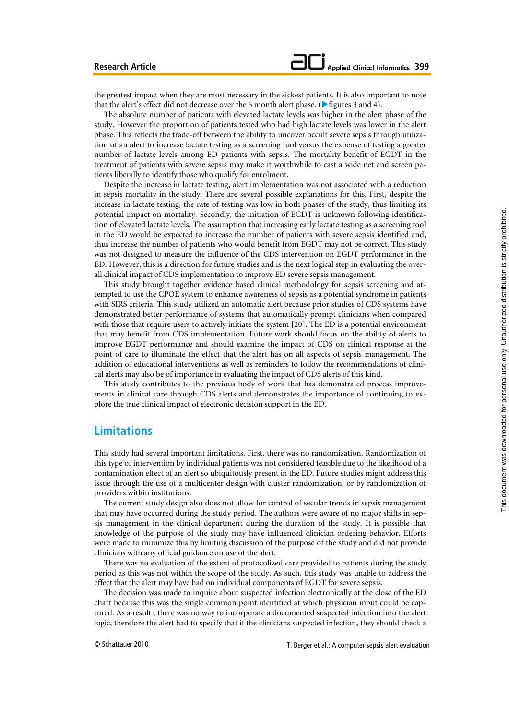This document was downloaded for personal use only. Unauthorized distribution is strictly prohibited.

This document was downloaded for personal use only. Unauthorized distribution is strictly prohibited.

### **Research Article**

the greatest impact when they are most necessary in the sickest patients. It is also important to note that the alert's effect did not decrease over the 6 month alert phase. ( $\blacktriangleright$  figures 3 and 4).

The absolute number of patients with elevated lactate levels was higher in the alert phase of the study. However the proportion of patients tested who had high lactate levels was lower in the alert phase. This reflects the trade-off between the ability to uncover occult severe sepsis through utilization of an alert to increase lactate testing as a screening tool versus the expense of testing a greater number of lactate levels among ED patients with sepsis. The mortality benefit of EGDT in the treatment of patients with severe sepsis may make it worthwhile to cast a wide net and screen patients liberally to identify those who qualify for enrolment.

Despite the increase in lactate testing, alert implementation was not associated with a reduction in sepsis mortality in the study. There are several possible explanations for this. First, despite the increase in lactate testing, the rate of testing was low in both phases of the study, thus limiting its potential impact on mortality. Secondly, the initiation of EGDT is unknown following identification of elevated lactate levels. The assumption that increasing early lactate testing as a screening tool in the ED would be expected to increase the number of patients with severe sepsis identified and, thus increase the number of patients who would benefit from EGDT may not be correct. This study was not designed to measure the influence of the CDS intervention on EGDT performance in the ED. However, this is a direction for future studies and is the next logical step in evaluating the overall clinical impact of CDS implementation to improve ED severe sepsis management.

This study brought together evidence based clinical methodology for sepsis screening and attempted to use the CPOE system to enhance awareness of sepsis as a potential syndrome in patients with SIRS criteria. This study utilized an automatic alert because prior studies of CDS systems have demonstrated better performance of systems that automatically prompt clinicians when compared with those that require users to actively initiate the system [20]. The ED is a potential environment that may benefit from CDS implementation. Future work should focus on the ability of alerts to improve EGDT performance and should examine the impact of CDS on clinical response at the point of care to illuminate the effect that the alert has on all aspects of sepsis management. The addition of educational interventions as well as reminders to follow the recommendations of clinical alerts may also be of importance in evaluating the impact of CDS alerts of this kind.

This study contributes to the previous body of work that has demonstrated process improvements in clinical care through CDS alerts and demonstrates the importance of continuing to explore the true clinical impact of electronic decision support in the ED.

### **Limitations**

This study had several important limitations. First, there was no randomization. Randomization of this type of intervention by individual patients was not considered feasible due to the likelihood of a contamination effect of an alert so ubiquitously present in the ED. Future studies might address this issue through the use of a multicenter design with cluster randomization, or by randomization of providers within institutions.

The current study design also does not allow for control of secular trends in sepsis management that may have occurred during the study period. The authors were aware of no major shifts in sepsis management in the clinical department during the duration of the study. It is possible that knowledge of the purpose of the study may have influenced clinician ordering behavior. Efforts were made to minimize this by limiting discussion of the purpose of the study and did not provide clinicians with any official guidance on use of the alert.

There was no evaluation of the extent of protocolized care provided to patients during the study period as this was not within the scope of the study. As such, this study was unable to address the effect that the alert may have had on individual components of EGDT for severe sepsis.

The decision was made to inquire about suspected infection electronically at the close of the ED chart because this was the single common point identified at which physician input could be captured. As a result , there was no way to incorporate a documented suspected infection into the alert logic, therefore the alert had to specify that if the clinicians suspected infection, they should check a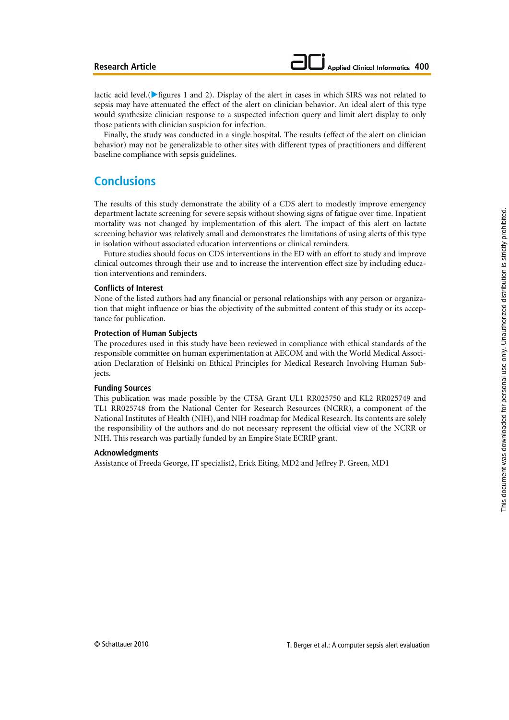lactic acid level.( $\blacktriangleright$  figures 1 and 2). Display of the alert in cases in which SIRS was not related to sepsis may have attenuated the effect of the alert on clinician behavior. An ideal alert of this type would synthesize clinician response to a suspected infection query and limit alert display to only those patients with clinician suspicion for infection.

Finally, the study was conducted in a single hospital. The results (effect of the alert on clinician behavior) may not be generalizable to other sites with different types of practitioners and different baseline compliance with sepsis guidelines.

# **Conclusions**

The results of this study demonstrate the ability of a CDS alert to modestly improve emergency department lactate screening for severe sepsis without showing signs of fatigue over time. Inpatient mortality was not changed by implementation of this alert. The impact of this alert on lactate screening behavior was relatively small and demonstrates the limitations of using alerts of this type in isolation without associated education interventions or clinical reminders.

Future studies should focus on CDS interventions in the ED with an effort to study and improve clinical outcomes through their use and to increase the intervention effect size by including education interventions and reminders.

### **Conflicts of Interest**

None of the listed authors had any financial or personal relationships with any person or organization that might influence or bias the objectivity of the submitted content of this study or its acceptance for publication.

#### **Protection of Human Subjects**

The procedures used in this study have been reviewed in compliance with ethical standards of the responsible committee on human experimentation at AECOM and with the World Medical Association Declaration of Helsinki on Ethical Principles for Medical Research Involving Human Subjects.

#### **Funding Sources**

This publication was made possible by the CTSA Grant UL1 RR025750 and KL2 RR025749 and TL1 RR025748 from the National Center for Research Resources (NCRR), a component of the National Institutes of Health (NIH), and NIH roadmap for Medical Research. Its contents are solely the responsibility of the authors and do not necessary represent the official view of the NCRR or NIH. This research was partially funded by an Empire State ECRIP grant.

#### **Acknowledgments**

Assistance of Freeda George, IT specialist2, Erick Eiting, MD2 and Jeffrey P. Green, MD1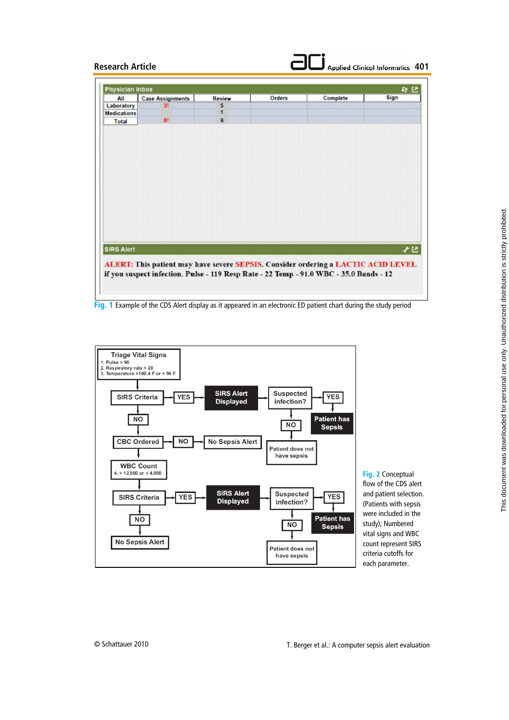| All                | <b>Case Assignments</b>                                                                | <b>Review</b> | <b>Orders</b> | Complete | Sign |
|--------------------|----------------------------------------------------------------------------------------|---------------|---------------|----------|------|
| Laboratory         | 3!                                                                                     | 5             |               |          |      |
| <b>Medications</b> |                                                                                        | 1             |               |          |      |
| <b>Total</b>       | 8!                                                                                     | 6             |               |          |      |
|                    |                                                                                        |               |               |          |      |
|                    |                                                                                        |               |               |          |      |
|                    |                                                                                        |               |               |          |      |
|                    |                                                                                        |               |               |          |      |
|                    |                                                                                        |               |               |          |      |
|                    |                                                                                        |               |               |          |      |
|                    |                                                                                        |               |               |          |      |
|                    |                                                                                        |               |               |          |      |
|                    |                                                                                        |               |               |          |      |
|                    |                                                                                        |               |               |          |      |
|                    |                                                                                        |               |               |          |      |
|                    |                                                                                        |               |               |          |      |
|                    |                                                                                        |               |               |          |      |
|                    |                                                                                        |               |               |          |      |
|                    |                                                                                        |               |               |          |      |
|                    |                                                                                        |               |               |          |      |
|                    |                                                                                        |               |               |          |      |
|                    |                                                                                        |               |               |          |      |
|                    |                                                                                        |               |               |          |      |
|                    |                                                                                        |               |               |          |      |
|                    |                                                                                        |               |               |          |      |
|                    |                                                                                        |               |               |          |      |
|                    |                                                                                        |               |               |          | γ€   |
|                    |                                                                                        |               |               |          |      |
|                    |                                                                                        |               |               |          |      |
|                    | ALERT: This patient may have severe SEPSIS. Consider ordering a LACTIC ACID LEVEL      |               |               |          |      |
|                    |                                                                                        |               |               |          |      |
| <b>SIRS Alert</b>  | if you suspect infection. Pulse - 119 Resp Rate - 22 Temp - 91.0 WBC - 35.0 Bands - 12 |               |               |          |      |

**Fig. 1** Example of the CDS Alert display as it appeared in an electronic ED patient chart during the study period



flow of the CDS alert and patient selection. (Patients with sepsis were included in the study); Numbered vital signs and WBC count represent SIRS criteria cutoffs for each parameter.

**Applied Clinical Informatics 401** 

**Fig. 2** Conceptual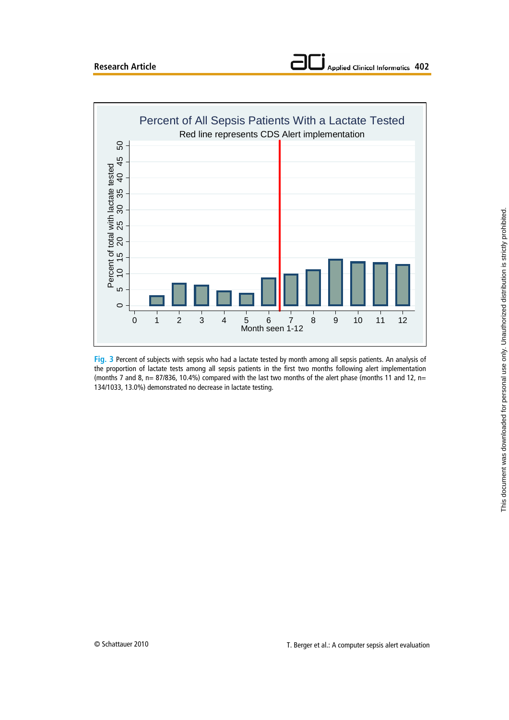

**Fig. 3** Percent of subjects with sepsis who had a lactate tested by month among all sepsis patients. An analysis of the proportion of lactate tests among all sepsis patients in the first two months following alert implementation (months 7 and 8, n= 87/836, 10.4%) compared with the last two months of the alert phase (months 11 and 12, n= 134/1033, 13.0%) demonstrated no decrease in lactate testing.

**Applied Clinical Informatics 402**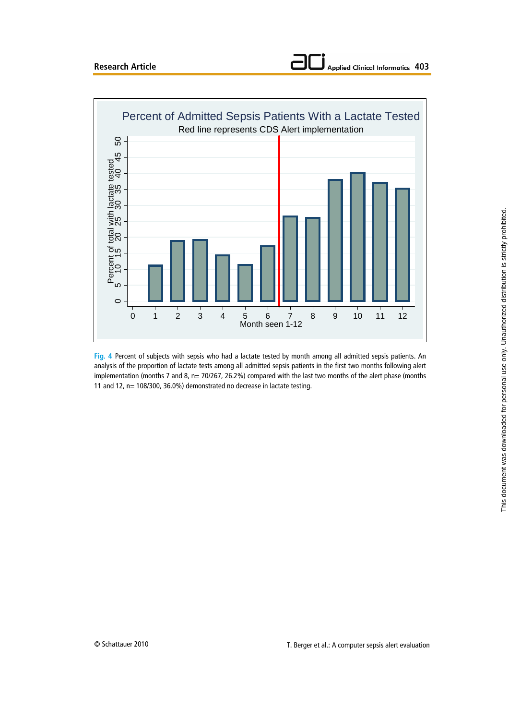



**Fig. 4** Percent of subjects with sepsis who had a lactate tested by month among all admitted sepsis patients. An analysis of the proportion of lactate tests among all admitted sepsis patients in the first two months following alert implementation (months 7 and 8, n= 70/267, 26.2%) compared with the last two months of the alert phase (months 11 and 12, n= 108/300, 36.0%) demonstrated no decrease in lactate testing.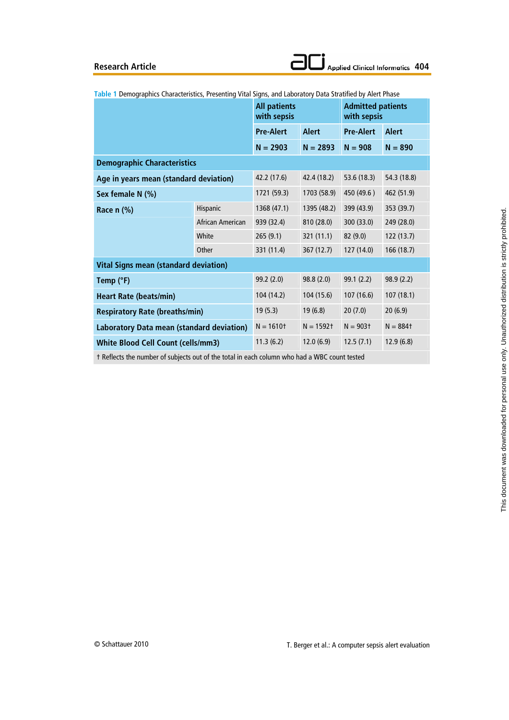|                                              |                  | <b>All patients</b><br>with sepsis |                        | <b>Admitted patients</b><br>with sepsis |              |  |
|----------------------------------------------|------------------|------------------------------------|------------------------|-----------------------------------------|--------------|--|
|                                              |                  | <b>Pre-Alert</b>                   | <b>Alert</b>           | <b>Pre-Alert</b>                        | <b>Alert</b> |  |
|                                              | $N = 2903$       | $N = 2893$                         | $N = 908$              | $N = 890$                               |              |  |
| <b>Demographic Characteristics</b>           |                  |                                    |                        |                                         |              |  |
| Age in years mean (standard deviation)       | 42.2 (17.6)      | 42.4 (18.2)                        | 53.6 (18.3)            | 54.3 (18.8)                             |              |  |
| Sex female N (%)                             |                  | 1721 (59.3)                        | 1703 (58.9)            | 450 (49.6)                              | 462 (51.9)   |  |
| Race n (%)                                   | Hispanic         | 1368 (47.1)                        | 1395 (48.2)            | 399 (43.9)                              | 353 (39.7)   |  |
|                                              | African American | 939 (32.4)                         | 810 (28.0)             | 300 (33.0)                              | 249 (28.0)   |  |
|                                              | White            | 265(9.1)                           | 321(11.1)              | 82 (9.0)                                | 122 (13.7)   |  |
|                                              | Other            | 331 (11.4)                         | 367 (12.7)             | 127 (14.0)                              | 166 (18.7)   |  |
| <b>Vital Signs mean (standard deviation)</b> |                  |                                    |                        |                                         |              |  |
| Temp (°F)                                    |                  | 99.2 (2.0)                         | 98.8(2.0)              | 99.1 (2.2)                              | 98.9(2.2)    |  |
| <b>Heart Rate (beats/min)</b>                | 104 (14.2)       | 104 (15.6)                         | 107 (16.6)             | 107(18.1)                               |              |  |
| <b>Respiratory Rate (breaths/min)</b>        | 19(5.3)          | 19(6.8)                            | 20(7.0)                | 20(6.9)                                 |              |  |
| Laboratory Data mean (standard deviation)    | $N = 1610$ t     | $N = 1592$ †                       | $N = 903$ <sup>+</sup> | $N = 884$ t                             |              |  |
| <b>White Blood Cell Count (cells/mm3)</b>    | 11.3(6.2)        | 12.0(6.9)                          | 12.5(7.1)              | 12.9(6.8)                               |              |  |
|                                              |                  |                                    |                        |                                         |              |  |

**Table 1** Demographics Characteristics, Presenting Vital Signs, and Laboratory Data Stratified by Alert Phase

† Reflects the number of subjects out of the total in each column who had a WBC count tested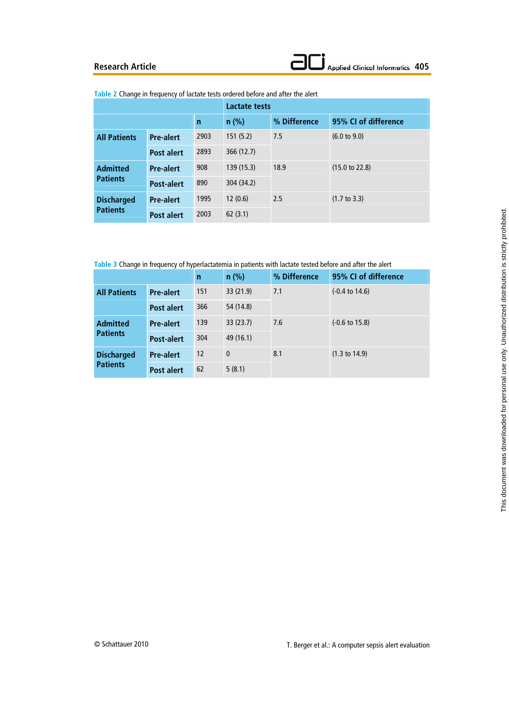| Table 2 Change in frequency of lactate tests ordered before and after the alert |  |  |
|---------------------------------------------------------------------------------|--|--|
|---------------------------------------------------------------------------------|--|--|

|                                      |                   |              | Lactate tests |              |                           |  |
|--------------------------------------|-------------------|--------------|---------------|--------------|---------------------------|--|
|                                      |                   | $\mathsf{n}$ | $n$ (%)       | % Difference | 95% CI of difference      |  |
| <b>All Patients</b>                  | <b>Pre-alert</b>  | 2903         | 151(5.2)      | 7.5          | $(6.0 \text{ to } 9.0)$   |  |
|                                      | <b>Post alert</b> | 2893         | 366 (12.7)    |              |                           |  |
| <b>Admitted</b><br><b>Patients</b>   | <b>Pre-alert</b>  | 908          | 139(15.3)     | 18.9         | $(15.0 \text{ to } 22.8)$ |  |
|                                      | <b>Post-alert</b> | 890          | 304 (34.2)    |              |                           |  |
| <b>Discharged</b><br><b>Patients</b> | <b>Pre-alert</b>  | 1995         | 12(0.6)       | 2.5          | $(1.7 \text{ to } 3.3)$   |  |
|                                      | <b>Post alert</b> | 2003         | 62(3.1)       |              |                           |  |

**Table 3** Change in frequency of hyperlactatemia in patients with lactate tested before and after the alert

|                                      |                   | n                 | $n$ (%)      | % Difference | 95% CI of difference      |
|--------------------------------------|-------------------|-------------------|--------------|--------------|---------------------------|
| <b>All Patients</b>                  | <b>Pre-alert</b>  | 151               | 33(21.9)     | 7.1          | $(-0.4 \text{ to } 14.6)$ |
|                                      | <b>Post alert</b> | 366               | 54 (14.8)    |              |                           |
| <b>Admitted</b><br><b>Patients</b>   | <b>Pre-alert</b>  | 139               | 33(23.7)     | 7.6          | $(-0.6 \text{ to } 15.8)$ |
|                                      | <b>Post-alert</b> | 304               | 49 (16.1)    |              |                           |
| <b>Discharged</b><br><b>Patients</b> | <b>Pre-alert</b>  | $12 \overline{ }$ | $\mathbf{0}$ | 8.1          | $(1.3 \text{ to } 14.9)$  |
|                                      | <b>Post alert</b> | 62                | 5(8.1)       |              |                           |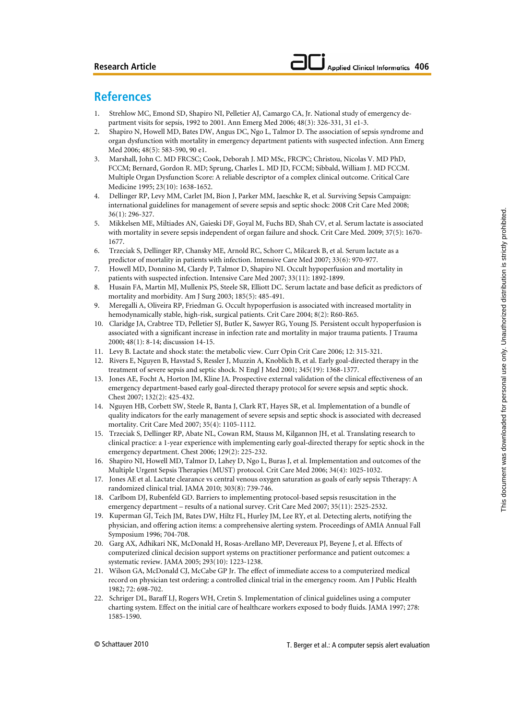# **References**

- 1. Strehlow MC, Emond SD, Shapiro NI, Pelletier AJ, Camargo CA, Jr. National study of emergency department visits for sepsis, 1992 to 2001. Ann Emerg Med 2006; 48(3): 326-331, 31 e1-3.
- 2. Shapiro N, Howell MD, Bates DW, Angus DC, Ngo L, Talmor D. The association of sepsis syndrome and organ dysfunction with mortality in emergency department patients with suspected infection. Ann Emerg Med 2006; 48(5): 583-590, 90 e1.
- 3. Marshall, John C. MD FRCSC; Cook, Deborah J. MD MSc, FRCPC; Christou, Nicolas V. MD PhD, FCCM; Bernard, Gordon R. MD; Sprung, Charles L. MD JD, FCCM; Sibbald, William J. MD FCCM. Multiple Organ Dysfunction Score: A reliable descriptor of a complex clinical outcome. Critical Care Medicine 1995; 23(10): 1638-1652.
- 4. Dellinger RP, Levy MM, Carlet JM, Bion J, Parker MM, Jaeschke R, et al. Surviving Sepsis Campaign: international guidelines for management of severe sepsis and septic shock: 2008 Crit Care Med 2008; 36(1): 296-327.
- 5. Mikkelsen ME, Miltiades AN, Gaieski DF, Goyal M, Fuchs BD, Shah CV, et al. Serum lactate is associated with mortality in severe sepsis independent of organ failure and shock. Crit Care Med. 2009; 37(5): 1670- 1677.
- 6. Trzeciak S, Dellinger RP, Chansky ME, Arnold RC, Schorr C, Milcarek B, et al. Serum lactate as a predictor of mortality in patients with infection. Intensive Care Med 2007; 33(6): 970-977.
- 7. Howell MD, Donnino M, Clardy P, Talmor D, Shapiro NI. Occult hypoperfusion and mortality in patients with suspected infection. Intensive Care Med 2007; 33(11): 1892-1899.
- 8. Husain FA, Martin MJ, Mullenix PS, Steele SR, Elliott DC. Serum lactate and base deficit as predictors of mortality and morbidity. Am J Surg 2003; 185(5): 485-491.
- 9. Meregalli A, Oliveira RP, Friedman G. Occult hypoperfusion is associated with increased mortality in hemodynamically stable, high-risk, surgical patients. Crit Care 2004; 8(2): R60-R65.
- 10. Claridge JA, Crabtree TD, Pelletier SJ, Butler K, Sawyer RG, Young JS. Persistent occult hypoperfusion is associated with a significant increase in infection rate and mortality in major trauma patients. J Trauma 2000; 48(1): 8-14; discussion 14-15.
- 11. Levy B. Lactate and shock state: the metabolic view. Curr Opin Crit Care 2006; 12: 315-321.
- 12. Rivers E, Nguyen B, Havstad S, Ressler J, Muzzin A, Knoblich B, et al. Early goal-directed therapy in the treatment of severe sepsis and septic shock. N Engl J Med 2001; 345(19): 1368-1377.
- 13. Jones AE, Focht A, Horton JM, Kline JA. Prospective external validation of the clinical effectiveness of an emergency department-based early goal-directed therapy protocol for severe sepsis and septic shock. Chest 2007; 132(2): 425-432.
- 14. Nguyen HB, Corbett SW, Steele R, Banta J, Clark RT, Hayes SR, et al. Implementation of a bundle of quality indicators for the early management of severe sepsis and septic shock is associated with decreased mortality. Crit Care Med 2007; 35(4): 1105-1112.
- 15. Trzeciak S, Dellinger RP, Abate NL, Cowan RM, Stauss M, Kilgannon JH, et al. Translating research to clinical practice: a 1-year experience with implementing early goal-directed therapy for septic shock in the emergency department. Chest 2006; 129(2): 225-232.
- 16. Shapiro NI, Howell MD, Talmor D, Lahey D, Ngo L, Buras J, et al. Implementation and outcomes of the Multiple Urgent Sepsis Therapies (MUST) protocol. Crit Care Med 2006; 34(4): 1025-1032.
- 17. Jones AE et al. Lactate clearance vs central venous oxygen saturation as goals of early sepsis Ttherapy: A randomized clinical trial. JAMA 2010; 303(8): 739-746.
- 18. Carlbom DJ, Rubenfeld GD. Barriers to implementing protocol-based sepsis resuscitation in the emergency department – results of a national survey. Crit Care Med 2007; 35(11): 2525-2532.
- 19. Kuperman GJ, Teich JM, Bates DW, Hiltz FL, Hurley JM, Lee RY, et al. Detecting alerts, notifying the physician, and offering action items: a comprehensive alerting system. Proceedings of AMIA Annual Fall Symposium 1996; 704-708.
- 20. Garg AX, Adhikari NK, McDonald H, Rosas-Arellano MP, Devereaux PJ, Beyene J, et al. Effects of computerized clinical decision support systems on practitioner performance and patient outcomes: a systematic review. JAMA 2005; 293(10): 1223-1238.
- 21. Wilson GA, McDonald CJ, McCabe GP Jr. The effect of immediate access to a computerized medical record on physician test ordering: a controlled clinical trial in the emergency room. Am J Public Health 1982; 72: 698-702.
- 22. Schriger DL, Baraff LJ, Rogers WH, Cretin S. Implementation of clinical guidelines using a computer charting system. Effect on the initial care of healthcare workers exposed to body fluids. JAMA 1997; 278: 1585-1590.